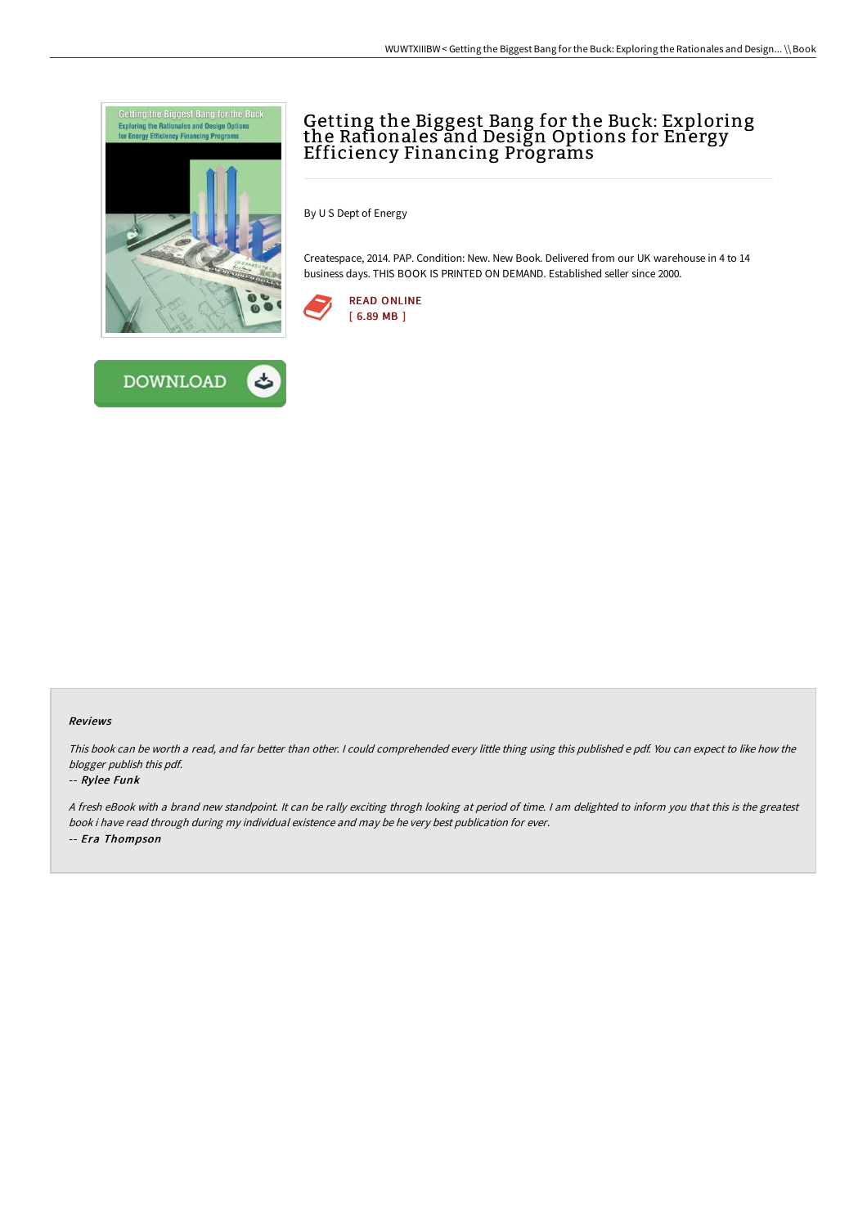

**DOWNLOAD** 



By U S Dept of Energy

Createspace, 2014. PAP. Condition: New. New Book. Delivered from our UK warehouse in 4 to 14 business days. THIS BOOK IS PRINTED ON DEMAND. Established seller since 2000.





This book can be worth <sup>a</sup> read, and far better than other. <sup>I</sup> could comprehended every little thing using this published <sup>e</sup> pdf. You can expect to like how the blogger publish this pdf.

## -- Rylee Funk

<sup>A</sup> fresh eBook with <sup>a</sup> brand new standpoint. It can be rally exciting throgh looking at period of time. <sup>I</sup> am delighted to inform you that this is the greatest book i have read through during my individual existence and may be he very best publication for ever. -- Era Thompson